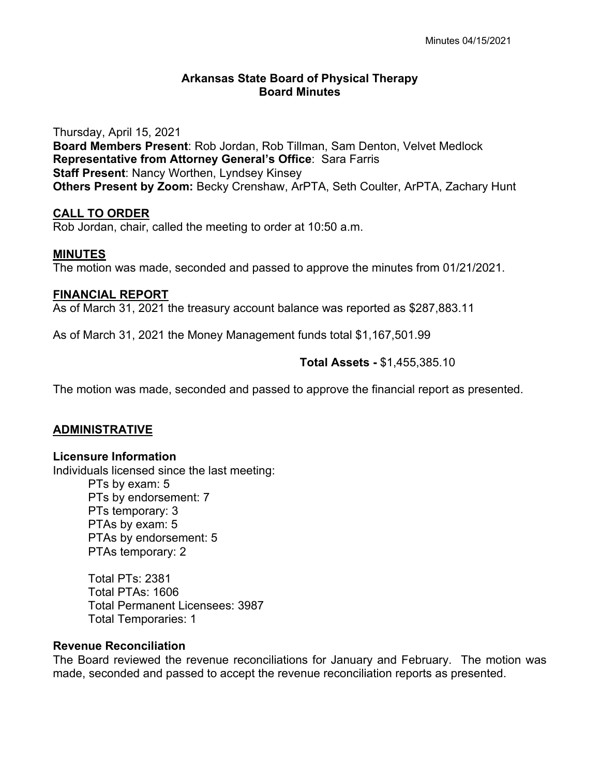# **Arkansas State Board of Physical Therapy Board Minutes**

Thursday, April 15, 2021 **Board Members Present**: Rob Jordan, Rob Tillman, Sam Denton, Velvet Medlock **Representative from Attorney General's Office**: Sara Farris **Staff Present**: Nancy Worthen, Lyndsey Kinsey **Others Present by Zoom:** Becky Crenshaw, ArPTA, Seth Coulter, ArPTA, Zachary Hunt

## **CALL TO ORDER**

Rob Jordan, chair, called the meeting to order at 10:50 a.m.

## **MINUTES**

The motion was made, seconded and passed to approve the minutes from 01/21/2021.

## **FINANCIAL REPORT**

As of March 31, 2021 the treasury account balance was reported as \$287,883.11

As of March 31, 2021 the Money Management funds total \$1,167,501.99

## **Total Assets -** \$1,455,385.10

The motion was made, seconded and passed to approve the financial report as presented.

### **ADMINISTRATIVE**

### **Licensure Information**

Individuals licensed since the last meeting: PTs by exam: 5 PTs by endorsement: 7 PTs temporary: 3 PTAs by exam: 5 PTAs by endorsement: 5 PTAs temporary: 2

> Total PTs: 2381 Total PTAs: 1606 Total Permanent Licensees: 3987 Total Temporaries: 1

# **Revenue Reconciliation**

The Board reviewed the revenue reconciliations for January and February. The motion was made, seconded and passed to accept the revenue reconciliation reports as presented.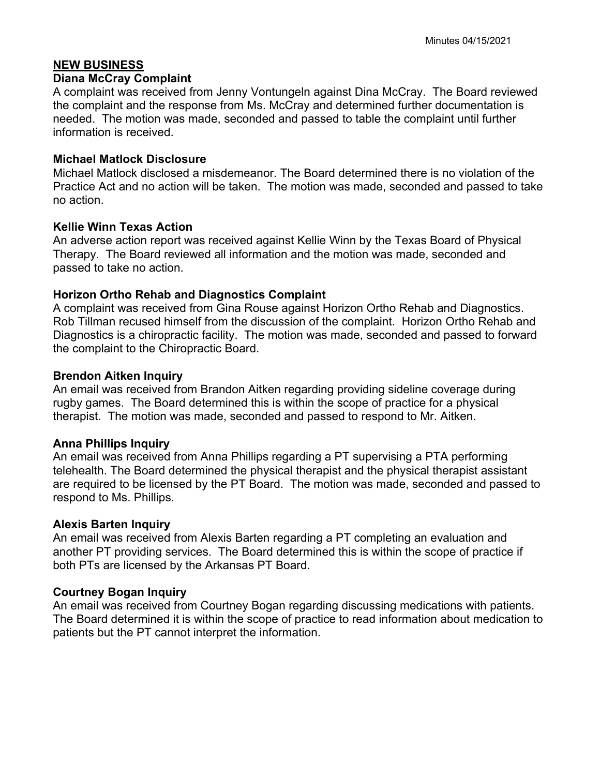# **NEW BUSINESS**

### **Diana McCray Complaint**

A complaint was received from Jenny Vontungeln against Dina McCray. The Board reviewed the complaint and the response from Ms. McCray and determined further documentation is needed. The motion was made, seconded and passed to table the complaint until further information is received.

# **Michael Matlock Disclosure**

Michael Matlock disclosed a misdemeanor. The Board determined there is no violation of the Practice Act and no action will be taken. The motion was made, seconded and passed to take no action.

# **Kellie Winn Texas Action**

An adverse action report was received against Kellie Winn by the Texas Board of Physical Therapy. The Board reviewed all information and the motion was made, seconded and passed to take no action.

# **Horizon Ortho Rehab and Diagnostics Complaint**

A complaint was received from Gina Rouse against Horizon Ortho Rehab and Diagnostics. Rob Tillman recused himself from the discussion of the complaint. Horizon Ortho Rehab and Diagnostics is a chiropractic facility. The motion was made, seconded and passed to forward the complaint to the Chiropractic Board.

# **Brendon Aitken Inquiry**

An email was received from Brandon Aitken regarding providing sideline coverage during rugby games. The Board determined this is within the scope of practice for a physical therapist. The motion was made, seconded and passed to respond to Mr. Aitken.

# **Anna Phillips Inquiry**

An email was received from Anna Phillips regarding a PT supervising a PTA performing telehealth. The Board determined the physical therapist and the physical therapist assistant are required to be licensed by the PT Board. The motion was made, seconded and passed to respond to Ms. Phillips.

# **Alexis Barten Inquiry**

An email was received from Alexis Barten regarding a PT completing an evaluation and another PT providing services. The Board determined this is within the scope of practice if both PTs are licensed by the Arkansas PT Board.

# **Courtney Bogan Inquiry**

An email was received from Courtney Bogan regarding discussing medications with patients. The Board determined it is within the scope of practice to read information about medication to patients but the PT cannot interpret the information.